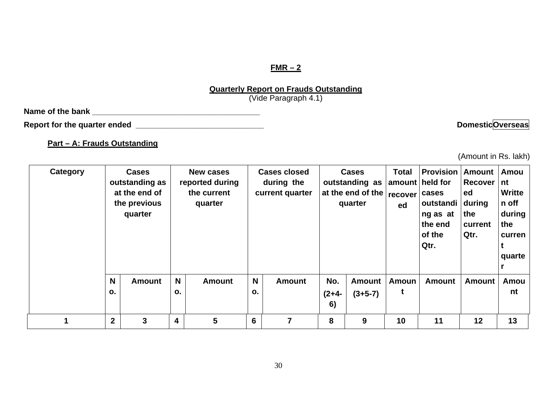### **FMR – 2**

#### **Quarterly Report on Frauds Outstanding**

(Vide Paragraph 4.1)

**Name of the bank \_\_\_\_\_\_\_\_\_\_\_\_\_\_\_\_\_\_\_\_\_\_\_\_\_\_\_\_\_\_\_\_\_\_\_\_\_\_** 

Report for the quarter ended **with a set of the contract of the contract of the contract of the contract of the contract of the contract of the contract of the contract of the contract of the contract of the contract of th** 

**Part – A: Frauds Outstanding**

(Amount in Rs. lakh)

| Category |                     | <b>Cases</b><br>outstanding as<br>at the end of<br>the previous<br>quarter |                     | <b>New cases</b><br>reported during<br>the current<br>quarter |                     | <b>Cases closed</b><br>during the<br>current quarter |                      | <b>Cases</b><br>outstanding as<br>at the end of the<br>quarter | <b>Total</b><br>recover<br>ed | <b>Provision</b><br>amount   held for<br>cases<br>outstandi<br>ng as at<br>the end<br>of the<br>Qtr. | <b>Amount</b><br>Recover<br>ed<br>during<br>the<br>current<br>Qtr. | Amou<br>l nt<br><b>Writte</b><br>n off<br>during<br>the<br>curren<br>quarte |
|----------|---------------------|----------------------------------------------------------------------------|---------------------|---------------------------------------------------------------|---------------------|------------------------------------------------------|----------------------|----------------------------------------------------------------|-------------------------------|------------------------------------------------------------------------------------------------------|--------------------------------------------------------------------|-----------------------------------------------------------------------------|
|          | N<br>$\mathbf{o}$ . | <b>Amount</b>                                                              | N<br>$\mathbf{o}$ . | <b>Amount</b>                                                 | N<br>$\mathbf{o}$ . | <b>Amount</b>                                        | No.<br>$(2+4-$<br>6) | <b>Amount</b><br>$(3+5-7)$                                     | Amoun<br>t                    | <b>Amount</b>                                                                                        | <b>Amount</b>                                                      | Amou<br>nt                                                                  |
|          | $\overline{2}$      | 3                                                                          | 4                   | 5                                                             | $6\phantom{1}6$     |                                                      | 8                    | 9                                                              | 10                            | 11                                                                                                   | 12                                                                 | 13                                                                          |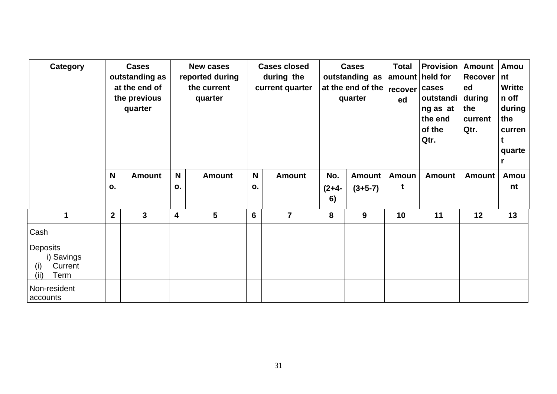| Category                                                 |                  | <b>Cases</b><br>outstanding as<br>at the end of<br>the previous<br>quarter |                    | <b>New cases</b><br>reported during<br>the current<br>quarter |         | <b>Cases closed</b><br>during the<br>current quarter |                      | <b>Cases</b><br>outstanding as<br>at the end of the<br>quarter | <b>Total</b><br>recover<br>ed | <b>Provision   Amount</b><br>amount   held for<br>cases<br>outstandi<br>ng as at<br>the end<br>of the<br>Qtr. | Recover I<br>ed<br>during<br>the<br>current<br>Qtr. | Amou<br>nt<br><b>Writte</b><br>n off<br>during<br>the<br>curren<br>quarte |
|----------------------------------------------------------|------------------|----------------------------------------------------------------------------|--------------------|---------------------------------------------------------------|---------|------------------------------------------------------|----------------------|----------------------------------------------------------------|-------------------------------|---------------------------------------------------------------------------------------------------------------|-----------------------------------------------------|---------------------------------------------------------------------------|
|                                                          | N<br>0.          | <b>Amount</b>                                                              | $\mathsf{N}$<br>ο. | <b>Amount</b>                                                 | N<br>о. | <b>Amount</b>                                        | No.<br>$(2+4-$<br>6) | <b>Amount</b><br>$(3+5-7)$                                     | <b>Amoun</b><br>t             | <b>Amount</b>                                                                                                 | <b>Amount</b>                                       | Amou<br>nt                                                                |
| 1                                                        | $\boldsymbol{2}$ | $\mathbf{3}$                                                               | 4                  | 5                                                             | 6       | $\overline{7}$                                       | 8                    | 9                                                              | 10                            | 11                                                                                                            | 12                                                  | 13                                                                        |
| Cash                                                     |                  |                                                                            |                    |                                                               |         |                                                      |                      |                                                                |                               |                                                                                                               |                                                     |                                                                           |
| Deposits<br>i) Savings<br>Current<br>(i)<br>Term<br>(ii) |                  |                                                                            |                    |                                                               |         |                                                      |                      |                                                                |                               |                                                                                                               |                                                     |                                                                           |
| Non-resident<br>accounts                                 |                  |                                                                            |                    |                                                               |         |                                                      |                      |                                                                |                               |                                                                                                               |                                                     |                                                                           |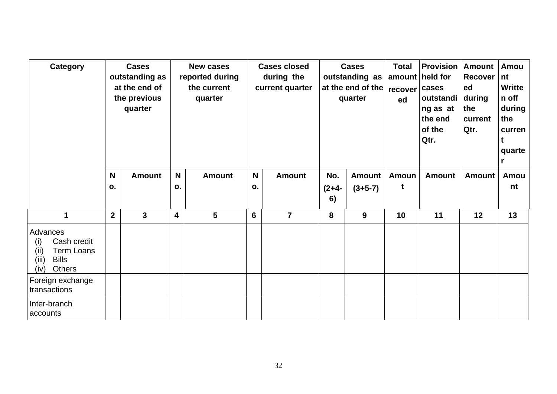| <b>Category</b>                                                                                                | <b>Cases</b><br>outstanding as<br>at the end of<br>the previous<br>quarter |               | <b>New cases</b><br>reported during<br>the current<br>quarter |               |         | <b>Cases closed</b><br>during the<br>current quarter |                      | <b>Cases</b><br>outstanding as<br>at the end of the<br>quarter | <b>Total</b><br>amount<br>recover<br>ed | <b>Provision</b><br>held for<br>cases<br>outstandi<br>ng as at<br>the end<br>of the<br>Qtr. | Amount<br>Recover<br>ed<br>  during<br>the<br>current<br>Qtr. | Amou<br>nt<br><b>Writte</b><br>n off<br>during<br>the<br>curren<br>t<br>quarte |
|----------------------------------------------------------------------------------------------------------------|----------------------------------------------------------------------------|---------------|---------------------------------------------------------------|---------------|---------|------------------------------------------------------|----------------------|----------------------------------------------------------------|-----------------------------------------|---------------------------------------------------------------------------------------------|---------------------------------------------------------------|--------------------------------------------------------------------------------|
|                                                                                                                | <b>N</b><br>о.                                                             | <b>Amount</b> | N <sub>1</sub><br>о.                                          | <b>Amount</b> | N<br>0. | <b>Amount</b>                                        | No.<br>$(2+4-$<br>6) | <b>Amount</b><br>$(3+5-7)$                                     | <b>Amoun</b><br>t                       | <b>Amount</b>                                                                               | <b>Amount</b>                                                 | Amou<br>nt                                                                     |
| 1                                                                                                              | $\overline{2}$                                                             | $\mathbf{3}$  | 4                                                             | 5             | 6       | $\overline{7}$                                       | 8                    | 9                                                              | 10                                      | 11                                                                                          | 12                                                            | 13                                                                             |
| Advances<br>Cash credit<br>(i)<br><b>Term Loans</b><br>(iii)<br>(iii)<br><b>Bills</b><br>(iv)<br><b>Others</b> |                                                                            |               |                                                               |               |         |                                                      |                      |                                                                |                                         |                                                                                             |                                                               |                                                                                |
| Foreign exchange<br>transactions                                                                               |                                                                            |               |                                                               |               |         |                                                      |                      |                                                                |                                         |                                                                                             |                                                               |                                                                                |
| Inter-branch<br>accounts                                                                                       |                                                                            |               |                                                               |               |         |                                                      |                      |                                                                |                                         |                                                                                             |                                                               |                                                                                |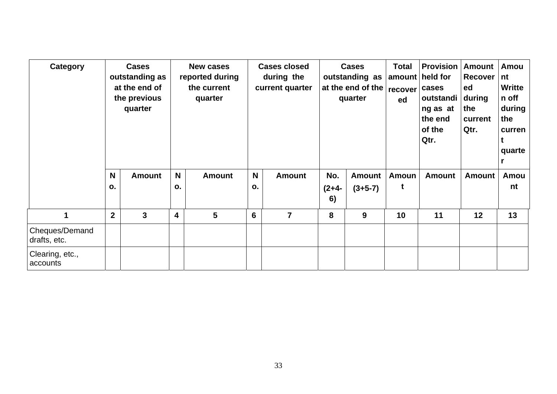| Category                       | <b>Cases</b><br>outstanding as<br>at the end of<br>the previous<br>quarter |               |         | <b>New cases</b><br>reported during<br>the current<br>quarter |         | <b>Cases closed</b><br>during the<br>current quarter |                      | <b>Cases</b><br>outstanding as<br>at the end of the<br>quarter | <b>Total</b><br>recover<br>ed | <b>Provision</b><br>amount   held for<br>cases<br>outstandi<br>ng as at<br>the end<br>of the<br>Qtr. | <b>Amount</b><br>Recover  <br>ed<br>during<br>the<br>current<br>Qtr. | Amou<br>nt<br><b>Writte</b><br>n off<br>during<br>the<br>curren<br>quarte |
|--------------------------------|----------------------------------------------------------------------------|---------------|---------|---------------------------------------------------------------|---------|------------------------------------------------------|----------------------|----------------------------------------------------------------|-------------------------------|------------------------------------------------------------------------------------------------------|----------------------------------------------------------------------|---------------------------------------------------------------------------|
|                                | N<br>$\mathbf{o}$ .                                                        | <b>Amount</b> | N<br>0. | <b>Amount</b>                                                 | N<br>о. | <b>Amount</b>                                        | No.<br>$(2+4-$<br>6) | <b>Amount</b><br>$(3+5-7)$                                     | Amoun<br>t                    | <b>Amount</b>                                                                                        | <b>Amount</b>                                                        | Amou<br>nt                                                                |
| 1                              | $\overline{2}$                                                             | 3             | 4       | $5\phantom{1}$                                                | 6       | $\overline{7}$                                       | 8                    | 9                                                              | 10                            | 11                                                                                                   | 12                                                                   | 13                                                                        |
| Cheques/Demand<br>drafts, etc. |                                                                            |               |         |                                                               |         |                                                      |                      |                                                                |                               |                                                                                                      |                                                                      |                                                                           |
| Clearing, etc.,<br>accounts    |                                                                            |               |         |                                                               |         |                                                      |                      |                                                                |                               |                                                                                                      |                                                                      |                                                                           |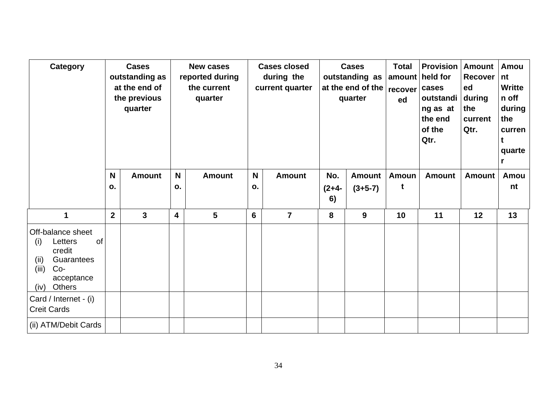| <b>Category</b>                                                                                                             | N              | <b>Cases</b><br>outstanding as<br>at the end of<br>the previous<br>quarter | $\mathsf{N}$ | <b>New cases</b><br>reported during<br>the current<br>quarter |         | <b>Cases closed</b><br>during the<br>current quarter<br><b>Amount</b> | No.                        | <b>Cases</b><br>outstanding as<br>at the end of the<br>quarter<br><b>Amount</b> | <b>Total</b><br>recover<br>ed<br>Amoun | <b>Provision</b><br>amount   held for<br>cases<br>outstandi<br>ng as at<br>the end<br>of the<br>Qtr. | <b>Amount</b><br><b>Recover</b><br>ed<br>during<br>the<br>current<br>Qtr. | Amou<br>nt<br><b>Writte</b><br>n off<br>during<br>the<br>curren<br>t<br>quarte<br>r |
|-----------------------------------------------------------------------------------------------------------------------------|----------------|----------------------------------------------------------------------------|--------------|---------------------------------------------------------------|---------|-----------------------------------------------------------------------|----------------------------|---------------------------------------------------------------------------------|----------------------------------------|------------------------------------------------------------------------------------------------------|---------------------------------------------------------------------------|-------------------------------------------------------------------------------------|
|                                                                                                                             | 0.             | <b>Amount</b>                                                              | О.           | <b>Amount</b>                                                 | N<br>0. |                                                                       | $(2+4-$<br>$(3+5-7)$<br>6) |                                                                                 | t                                      | <b>Amount</b>                                                                                        | <b>Amount</b>                                                             | Amou<br>nt                                                                          |
| 1                                                                                                                           | $\overline{2}$ | 3                                                                          | 4            | 5                                                             |         | $\overline{7}$                                                        | 8<br>9                     |                                                                                 | 10                                     | 11                                                                                                   | 12                                                                        | 13                                                                                  |
| Off-balance sheet<br>of<br>Letters<br>(i)<br>credit<br>(ii)<br>Guarantees<br>(iii)<br>$Co-$<br>acceptance<br>Others<br>(iv) |                |                                                                            |              |                                                               |         |                                                                       |                            |                                                                                 |                                        |                                                                                                      |                                                                           |                                                                                     |
| Card / Internet - (i)<br><b>Creit Cards</b>                                                                                 |                |                                                                            |              |                                                               |         |                                                                       |                            |                                                                                 |                                        |                                                                                                      |                                                                           |                                                                                     |
| (ii) ATM/Debit Cards                                                                                                        |                |                                                                            |              |                                                               |         |                                                                       |                            |                                                                                 |                                        |                                                                                                      |                                                                           |                                                                                     |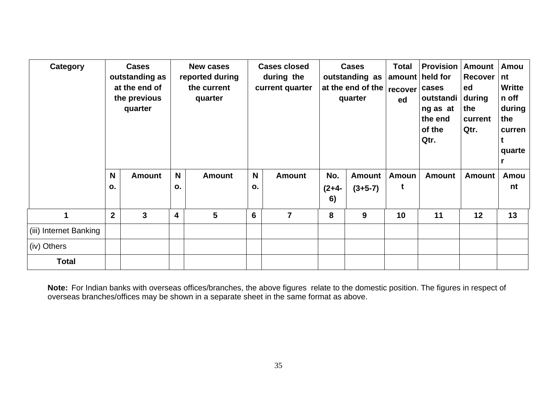| Category               |                  | <b>Cases</b><br>outstanding as<br>at the end of<br>the previous<br>quarter | <b>New cases</b><br>reported during<br>the current<br>quarter |                 |         | <b>Cases closed</b><br>during the<br>current quarter |                    | <b>Cases</b><br>outstanding as<br>at the end of the<br>quarter | <b>Total</b><br>amount<br><b>recover</b><br>ed | <b>Provision</b><br>held for<br>cases<br>outstandi<br>ng as at<br>the end<br>of the<br>Qtr. | <b>Amount</b><br>Recover  <br>ed<br>  during<br>the<br>current<br>Qtr. | Amou<br>nt<br><b>Writte</b><br>n off<br>during<br>the<br>curren<br>quarte |
|------------------------|------------------|----------------------------------------------------------------------------|---------------------------------------------------------------|-----------------|---------|------------------------------------------------------|--------------------|----------------------------------------------------------------|------------------------------------------------|---------------------------------------------------------------------------------------------|------------------------------------------------------------------------|---------------------------------------------------------------------------|
|                        | N<br>0.          | <b>Amount</b>                                                              | N<br>О.                                                       | <b>Amount</b>   | N<br>о. | <b>Amount</b>                                        | No.<br>(2+4-<br>6) | <b>Amount</b><br>$(3+5-7)$                                     | <b>Amoun</b><br>t                              | <b>Amount</b>                                                                               | <b>Amount</b>                                                          | Amou<br>nt                                                                |
| $\blacktriangleleft$   | $\boldsymbol{2}$ | $\overline{\mathbf{3}}$                                                    | 4                                                             | $5\phantom{.0}$ | 6       | $\overline{7}$                                       | 8                  | 9                                                              | 10                                             | 11                                                                                          | 12                                                                     | 13                                                                        |
| (iii) Internet Banking |                  |                                                                            |                                                               |                 |         |                                                      |                    |                                                                |                                                |                                                                                             |                                                                        |                                                                           |
| (iv) Others            |                  |                                                                            |                                                               |                 |         |                                                      |                    |                                                                |                                                |                                                                                             |                                                                        |                                                                           |
| <b>Total</b>           |                  |                                                                            |                                                               |                 |         |                                                      |                    |                                                                |                                                |                                                                                             |                                                                        |                                                                           |

**Note:** For Indian banks with overseas offices/branches, the above figures relate to the domestic position. The figures in respect of overseas branches/offices may be shown in a separate sheet in the same format as above.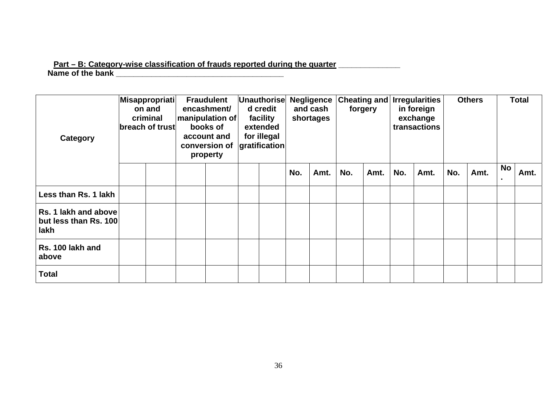#### **Part – B: Category-wise classification of frauds reported during the quarter \_\_\_\_\_\_\_\_\_\_\_\_\_\_ Name of the bank \_\_\_\_\_\_\_\_\_\_\_\_\_\_\_\_\_\_\_\_\_\_\_\_\_\_\_\_\_\_\_\_\_\_\_\_\_\_**

| Category                                              | Misappropriati<br>on and<br>criminal<br>breach of trust |  | <b>Fraudulent</b><br>encashment/<br>manipulation of<br>books of<br>account and<br>conversion of<br>property |  | Unauthorise<br>d credit<br>facility<br>extended<br>for illegal<br>gratification |  | <b>Negligence</b><br>and cash<br>shortages |      | forgery |      | <b>Cheating and Irregularities</b><br>in foreign<br>exchange<br>transactions |      | <b>Others</b> |      | <b>Total</b> |      |
|-------------------------------------------------------|---------------------------------------------------------|--|-------------------------------------------------------------------------------------------------------------|--|---------------------------------------------------------------------------------|--|--------------------------------------------|------|---------|------|------------------------------------------------------------------------------|------|---------------|------|--------------|------|
|                                                       |                                                         |  |                                                                                                             |  |                                                                                 |  | No.                                        | Amt. | No.     | Amt. | No.                                                                          | Amt. | No.           | Amt. | No           | Amt. |
| Less than Rs. 1 lakh                                  |                                                         |  |                                                                                                             |  |                                                                                 |  |                                            |      |         |      |                                                                              |      |               |      |              |      |
| Rs. 1 lakh and above<br>but less than Rs. 100<br>lakh |                                                         |  |                                                                                                             |  |                                                                                 |  |                                            |      |         |      |                                                                              |      |               |      |              |      |
| Rs. 100 lakh and<br>above                             |                                                         |  |                                                                                                             |  |                                                                                 |  |                                            |      |         |      |                                                                              |      |               |      |              |      |
| <b>Total</b>                                          |                                                         |  |                                                                                                             |  |                                                                                 |  |                                            |      |         |      |                                                                              |      |               |      |              |      |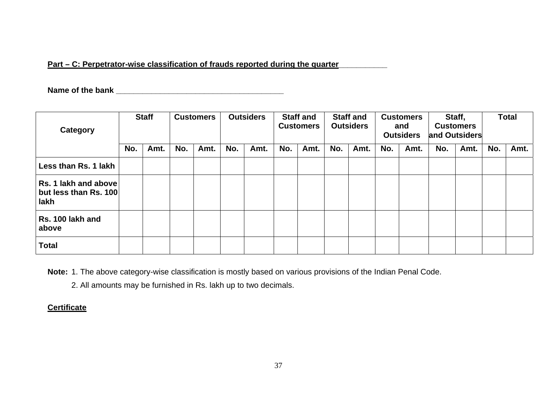## Part – C: Perpetrator-wise classification of frauds reported during the quarter

**Name of the bank \_\_\_\_\_\_\_\_\_\_\_\_\_\_\_\_\_\_\_\_\_\_\_\_\_\_\_\_\_\_\_\_\_\_\_\_\_\_** 

| Category                                              | <b>Staff</b> |      |     |      | <b>Customers</b> |      | <b>Outsiders</b> |      | <b>Staff and</b><br><b>Customers</b> |      | <b>Staff and</b><br><b>Outsiders</b> |      | <b>Customers</b><br>and<br><b>Outsiders</b> |      | Staff,<br><b>Customers</b><br>and Outsiders |      | <b>Total</b> |  |
|-------------------------------------------------------|--------------|------|-----|------|------------------|------|------------------|------|--------------------------------------|------|--------------------------------------|------|---------------------------------------------|------|---------------------------------------------|------|--------------|--|
|                                                       | No.          | Amt. | No. | Amt. | No.              | Amt. | No.              | Amt. | No.                                  | Amt. | No.                                  | Amt. | No.                                         | Amt. | No.                                         | Amt. |              |  |
| Less than Rs. 1 lakh                                  |              |      |     |      |                  |      |                  |      |                                      |      |                                      |      |                                             |      |                                             |      |              |  |
| Rs. 1 lakh and above<br>but less than Rs. 100<br>lakh |              |      |     |      |                  |      |                  |      |                                      |      |                                      |      |                                             |      |                                             |      |              |  |
| Rs. 100 lakh and<br>above                             |              |      |     |      |                  |      |                  |      |                                      |      |                                      |      |                                             |      |                                             |      |              |  |
| <b>Total</b>                                          |              |      |     |      |                  |      |                  |      |                                      |      |                                      |      |                                             |      |                                             |      |              |  |

**Note:** 1. The above category-wise classification is mostly based on various provisions of the Indian Penal Code.

2. All amounts may be furnished in Rs. lakh up to two decimals.

# **Certificate**